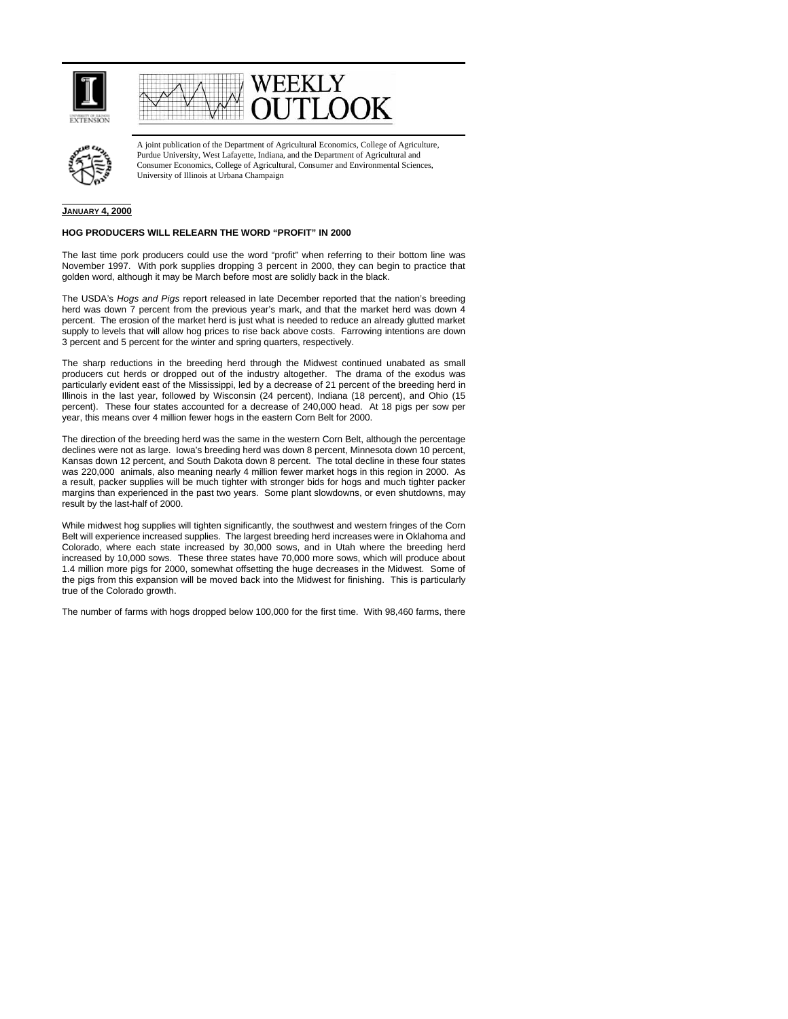





A joint publication of the Department of Agricultural Economics, College of Agriculture, Purdue University, West Lafayette, Indiana, and the Department of Agricultural and Consumer Economics, College of Agricultural, Consumer and Environmental Sciences, University of Illinois at Urbana Champaign

## **JANUARY 4, 2000**

## **HOG PRODUCERS WILL RELEARN THE WORD "PROFIT" IN 2000**

The last time pork producers could use the word "profit" when referring to their bottom line was November 1997. With pork supplies dropping 3 percent in 2000, they can begin to practice that golden word, although it may be March before most are solidly back in the black.

The USDA's *Hogs and Pigs* report released in late December reported that the nation's breeding herd was down 7 percent from the previous year's mark, and that the market herd was down 4 percent. The erosion of the market herd is just what is needed to reduce an already glutted market supply to levels that will allow hog prices to rise back above costs. Farrowing intentions are down 3 percent and 5 percent for the winter and spring quarters, respectively.

The sharp reductions in the breeding herd through the Midwest continued unabated as small producers cut herds or dropped out of the industry altogether. The drama of the exodus was particularly evident east of the Mississippi, led by a decrease of 21 percent of the breeding herd in Illinois in the last year, followed by Wisconsin (24 percent), Indiana (18 percent), and Ohio (15 percent). These four states accounted for a decrease of 240,000 head. At 18 pigs per sow per year, this means over 4 million fewer hogs in the eastern Corn Belt for 2000.

The direction of the breeding herd was the same in the western Corn Belt, although the percentage declines were not as large. Iowa's breeding herd was down 8 percent, Minnesota down 10 percent, Kansas down 12 percent, and South Dakota down 8 percent. The total decline in these four states was 220,000 animals, also meaning nearly 4 million fewer market hogs in this region in 2000. As a result, packer supplies will be much tighter with stronger bids for hogs and much tighter packer margins than experienced in the past two years. Some plant slowdowns, or even shutdowns, may result by the last-half of 2000.

While midwest hog supplies will tighten significantly, the southwest and western fringes of the Corn Belt will experience increased supplies. The largest breeding herd increases were in Oklahoma and Colorado, where each state increased by 30,000 sows, and in Utah where the breeding herd increased by 10,000 sows. These three states have 70,000 more sows, which will produce about 1.4 million more pigs for 2000, somewhat offsetting the huge decreases in the Midwest. Some of the pigs from this expansion will be moved back into the Midwest for finishing. This is particularly true of the Colorado growth.

The number of farms with hogs dropped below 100,000 for the first time. With 98,460 farms, there